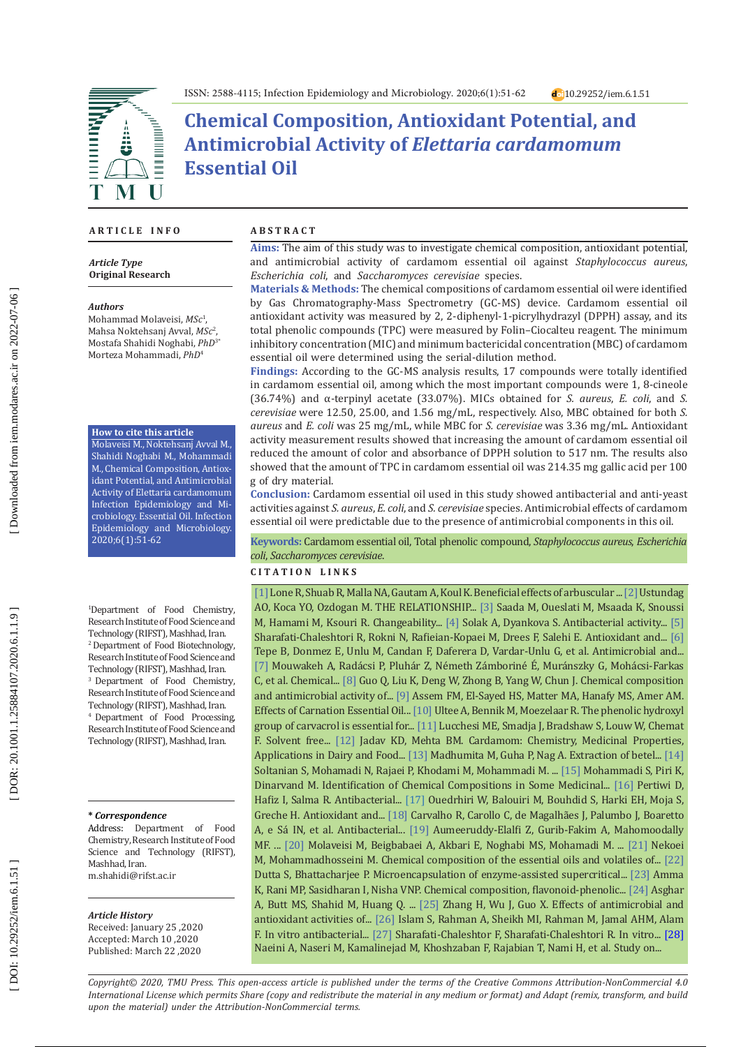

# **Chemical Composition, Antioxidant Potential, and Antimicrobial Activity of** *Elettaria cardamomum* **Essential Oil**

## **A R T I C L E I N F O**

*Article Type* **Original Research**

#### *Authors*

Mohammad Molaveisi, *MSc* 1 , Mahsa Noktehsanj Avval, *MSc* 2 , Mostafa Shahidi Noghabi, *PhD*3\* Morteza Mohammadi, *PhD* 4

## **How to cite this article**

Molaveisi M., Noktehsanj Avval M., Shahidi Noghabi M., Mohammadi M., Chemical Composition, Antiox idant Potential, and Antimicrobial Activity of Elettaria cardamomum Infection Epidemiology and Mi crobiology. Essential Oil. Infection Epidemiology and Microbiology. 2020;6(1):51-62

1 Department of Food Chemistry, Research Institute of Food Science and Technology (RIFST), Mashhad, Iran. 2 Department of Food Biotechnology, Research Institute of Food Science and Technology (RIFST), Mashhad, Iran. <sup>3</sup> Department of Food Chemistry, Research Institute of Food Science and Technology (RIFST), Mashhad, Iran. 4 Department of Food Processing, Research Institute of Food Science and Technology (RIFST), Mashhad, Iran.

#### **\*** *Correspondence*

Address: Department of Food Chemistry, Research Institute of Food Science and Technology (RIFST). Mashhad, Iran. [m.shahidi@rifst.ac.ir](mailto:m.shahidi@rifst.ac.ir)

### *Article History*

Received: January 25 ,2020 Accepted: March 10 ,2020 Published: March 22 ,2020

## **A B S T R A C T**

**Aims:** The aim of this study was to investigate chemical composition, antioxidant potential, and antimicrobial activity of cardamom essential oil against *Staphylococcus aureus*, *Escherichia coli*, and *Saccharomyces cerevisiae* species.

**Materials & Methods:** The chemical compositions of cardamom essential oil were identified by Gas Chromatography-Mass Spectrometry (GC-MS) device. Cardamom essential oil antioxidant activity was measured by 2, 2-diphenyl-1-picrylhydrazyl (DPPH) assay, and its total phenolic compounds (TPC) were measured by Folin–Ciocalteu reagent. The minimum inhibitory concentration (MIC) and minimum bactericidal concentration (MBC) of cardamom essential oil were determined using the serial-dilution method.

**Findings:** According to the GC-MS analysis results, 17 compounds were totally identified in cardamom essential oil, among which the most important compounds were 1, 8-cineole (36.74%) and α-terpinyl acetate (33.07%). MICs obtained for *S. aureus*, *E. coli*, and *S. cerevisiae* were 12.50, 25.00, and 1.56 mg/mL, respectively. Also, MBC obtained for both *S. aureus* and *E. coli* was 25 mg/mL, while MBC for *S. cerevisiae* was 3.36 mg/mL. Antioxidant activity measurement results showed that increasing the amount of cardamom essential oil reduced the amount of color and absorbance of DPPH solution to 517 nm. The results also showed that the amount of TPC in cardamom essential oil was 214.35 mg gallic acid per 100 g of dry material.

**Conclusion:** Cardamom essential oil used in this study showed antibacterial and anti-yeast activities against *S. aureus*, *E. coli*, and *S. cerevisiae* species. Antimicrobial effects of cardamom essential oil were predictable due to the presence of antimicrobial components in this oil.

**Keywords:** Cardamom essential oil, Total phenolic compound, *Staphylococcus aureus*, *Escherichia coli*, *Saccharomyces cerevisiae* .

## **C I T A T I O N L I N K S**

[\[1\]](https://www.researchgate.net/profile/Rafiq_Lone5/publication/301552535_Beneficial_Effects_of_Arbuscular_Mycorrhizal_Fungi_on_Underground_Modified_Stem_Propagule_Plants/links/57190c8c08ae30c3f9f2bd66/Beneficial-Effects-of-Arbuscular-Mycorrhizal-Fungi-on-Un\
derground-Modified-Stem-Propagule-Plants.pdf) Lone R, Shuab R, Malla NA, Gautam A, Koul K. Beneficial effects of arbuscular ... [\[2\]](https://www.researchgate.net/profile/Ahmet_Onder_Ustundag/publication/309040717_THE_RELATIONSHIP_BETWEEN_FEED_AND_FOOD_SAFETY/links/57ff3eeb08ae6b2da3c8d5f1.pdf) Ustundag AO, Koca YO, Ozdogan M. THE RELATIONSHIP... [\[3\]](https://www.tandfonline.com/doi/abs/10.1080/11263504.2018.1435579) Saada M, Oueslati M, Msaada K, Snoussi M, Hamami M, Ksouri R. Changeability... [\[4\]](https://www.researchgate.net/profile/Ayten_Solak/publication/332209388_Antibacterial_activity_of_ethanol_extracts_of_fifteen_Bulgarian_plants/links/5cb49b47299bf12097673d20/Antibacterial-activity-of-ethanol-extracts-of-fifteen-Bulgarian-plants.pdf) Solak A, Dyankova S. Antibacterial activity... [\[5\]](https://www.researchgate.net/publication/281728788_Antioxidant_and_Antibacterial_Activity_of_Basil_Ocimum_basilicum_L_Essential_Oil_in_Beef_Burger)  Sharafati-Chaleshtori R, Rokni N, Rafieian-Kopaei M, Drees F, Salehi E. Antioxidant and... [\[6\]](https://www.sciencedirect.com/science/article/abs/pii/S030881460300267X)  Tepe B, Donmez E, Unlu M, Candan F, Daferera D, Vardar-Unlu G, et al. Antimicrobial and... [\[7\]](https://akjournals.com/view/journals/066/47/3/article-p379.xml) Mouwakeh A, Radácsi P, Pluhár Z, Németh Zámboriné É� , Muránszky G, Mohácsi-Farkas C, et al. Chemical... [\[8\] G](https://onlinelibrary.wiley.com/doi/full/10.1002/fsn3.688)uo Q, Liu K, Deng W, Zhong B, Yang W, Chun J. Chemical composition and antimicrobial activity of... [\[9\]](https://www.semanticscholar.org/paper/Effects-of-Carnation-Essential-Oil-Extracted-from-Assem-Shafei/342462bb3ba861021d177f4e96bcbe360cd84be5) Assem FM, El-Sayed HS, Matter MA, Hanafy MS, Amer AM. Effects of Carnation Essential Oil... [\[10\]](https://aem.asm.org/content/68/4/1561.short) Ultee A, Bennik M, Moezelaar R. The phenolic hydroxyl group of carvacrol is essential for... [\[11\]](https://www.sciencedirect.com/science/article/abs/pii/S0260877406003062) Lucchesi ME, Smadja J, Bradshaw S, Louw W, Chemat F. Solvent free... [\[12\] J](http://sciencejournals.stmjournals.in/index.php/RRJoDST/article/view/1520)adav KD, Mehta BM. Cardamom: Chemistry, Medicinal Properties, Applications in Dairy and Food... [\[13\]](https://www.sciencedirect.com/science/article/abs/pii/S0926669019305898) Madhumita M, Guha P, Nag A. Extraction of betel... [14] Soltanian S, Mohamadi N, Rajaei P, Khodami M, Mohammadi M. ... [\[15\]](http://lsj.cnrs.edu.lb/wp-content/uploads/2019/05/Samira-M1.pdf) Mohammadi S, Piri K, Dinarvand M. Identification of Chemical Compositions in Some Medicinal... [\[16\]](https://talenta.usu.ac.id/idjpcr/article/view/869) Pertiwi D, Hafiz I, Salma R. Antibacterial... [\[17\]](https://link.springer.com/article/10.1007/s11356-017-9739-1) Ouedrhiri W, Balouiri M, Bouhdid S, Harki EH, Moja S, Greche H. Antioxidant and... [\[18\]](https://www.sciencedirect.com/science/article/pii/S0254629917308773) Carvalho R, Carollo C, de Magalhães J, Palumbo J, Boaretto A, e Sá IN, et al. Antibacterial... [\[19\]](https://www.sciencedirect.com/science/article/abs/pii/S2210803316300057) Aumeeruddy-Elalfi Z, Gurib-Fakim A, Mahomoodally MF. ... [\[20\]](https://www.sciencedirect.com/science/article/pii/S2405844018374401) Molaveisi M, Beigbabaei A, Akbari E, Noghabi MS, Mohamadi M. ... [\[21\] N](https://www.tandfonline.com/doi/abs/10.1080/0972060X.2017.1305918)ekoei M, Mohammadhosseini M. Chemical composition of the essential oils and volatiles of... [\[22\]](https://link.springer.com/article/10.1007/s11694-016-9398-9) Dutta S, Bhattacharjee P. Microencapsulation of enzyme-assisted supercritical... [\[23\]](http://citeseerx.ist.psu.edu/viewdoc/download?doi=10.1.1.302.503&rep=rep1&type=pdf) Amma K, Rani MP, Sasidharan I, Nisha VNP. Chemical composition, flavonoid-phenolic... [\[24\]](https://link.springer.com/article/10.1007/s13197-017-2668-7) Asghar A, Butt MS, Shahid M, Huang Q. ... [\[25\]](https://www.sciencedirect.com/science/article/pii/S2213453015000580) Zhang H, Wu J, Guo X. Effects of antimicrobial and antioxidant activities of... [\[26\]](https://hrcak.srce.hr/index.php?id_clanak_jezik=97617&show=clanak) Islam S, Rahman A, Sheikh MI, Rahman M, Jamal AHM, Alam F. In vitro antibacterial... [\[27\]](https://hrcak.srce.hr/index.php?show=clanak&id_clanak_jezik=266518) Sharafati-Chaleshtor F, Sharafati-Chaleshtori R. In vitro... [\[28\]](https://www.sid.ir/en/journal/ViewPaper.aspx?id=205841)  Naeini A, Naseri M, Kamalinejad M, Khoshzaban F, Rajabian T, Nami H, et al. Study on...

*Copyright© 2020, TMU Press. This open-access article is published under the terms of the Creative Commons Attribution-NonCommercial 4.0 International License which permits Share (copy and redistribute the material in any medium or format) and Adapt (remix, transform, and build upon the material) under the Attribution-NonCommercial terms.*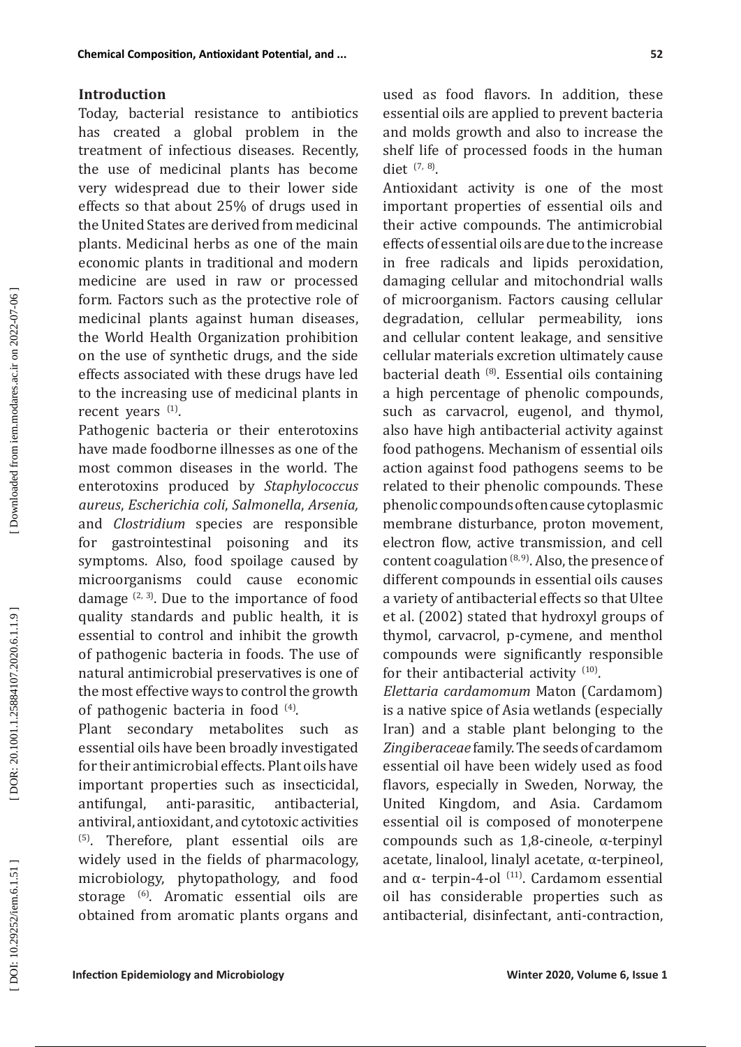Today, bacterial resistance to antibiotics has created a global problem in the treatment of infectious diseases. Recently, the use of medicinal plants has become very widespread due to their lower side effects so that about 25% of drugs used in the United States are derived from medicinal plants. Medicinal herbs as one of the main economic plants in traditional and modern medicine are used in raw or processed form. Factors such as the protective role of medicinal plants against human diseases, the World Health Organization prohibition on the use of synthetic drugs, and the side effects associated with these drugs have led to the increasing use of medicinal plants in recent years <sup>(1)</sup>.

Pathogenic bacteria or their enterotoxins have made foodborne illnesses as one of the most common diseases in the world. The enterotoxins produced by *Staphylococcus aureus*, *Escherichia coli*, *Salmonella*, *Arsenia,* and *Clostridium* species are responsible for gastrointestinal poisoning and its symptoms. Also, food spoilage caused by microorganisms could cause economic damage  $(2, 3)$ . Due to the importance of food quality standards and public health, it is essential to control and inhibit the growth of pathogenic bacteria in foods. The use of natural antimicrobial preservatives is one of the most effective ways to control the growth of pathogenic bacteria in food  $(4)$ .

Plant secondary metabolites such as essential oils have been broadly investigated for their antimicrobial effects. Plant oils have important properties such as insecticidal, antifungal, anti-parasitic, antibacterial, antiviral, antioxidant, and cytotoxic activities (5). Therefore, plant essential oils are widely used in the fields of pharmacology, microbiology, phytopathology, and food storage <sup>(6)</sup>. Aromatic essential oils are obtained from aromatic plants organs and used as food flavors. In addition, these essential oils are applied to prevent bacteria and molds growth and also to increase the shelf life of processed foods in the human diet  $(7, 8)$ .

Antioxidant activity is one of the most important properties of essential oils and their active compounds. The antimicrobial effects of essential oils are due to the increase in free radicals and lipids peroxidation, damaging cellular and mitochondrial walls of microorganism. Factors causing cellular degradation, cellular permeability, ions and cellular content leakage, and sensitive cellular materials excretion ultimately cause bacterial death  $(8)$ . Essential oils containing a high percentage of phenolic compounds, such as carvacrol, eugenol, and thymol, also have high antibacterial activity against food pathogens. Mechanism of essential oils action against food pathogens seems to be related to their phenolic compounds. These phenolic compounds often cause cytoplasmic membrane disturbance, proton movement, electron flow, active transmission, and cell content coagulation  $(8, 9)$ . Also, the presence of different compounds in essential oils causes a variety of antibacterial effects so that Ultee et al. (2002) stated that hydroxyl groups of thymol, carvacrol, p-cymene, and menthol compounds were significantly responsible for their antibacterial activity <sup>(10)</sup>.

*Elettaria cardamomum* Maton (Cardamom) is a native spice of Asia wetlands (especially Iran) and a stable plant belonging to the *Zingiberaceae* family. The seeds of cardamom essential oil have been widely used as food flavors, especially in Sweden, Norway, the United Kingdom, and Asia. Cardamom essential oil is composed of monoterpene compounds such as 1,8-cineole, α-terpinyl acetate, linalool, linalyl acetate, α-terpineol, and  $α$ - terpin-4-ol<sup>(11)</sup>. Cardamom essential oil has considerable properties such as antibacterial, disinfectant, anti-contraction,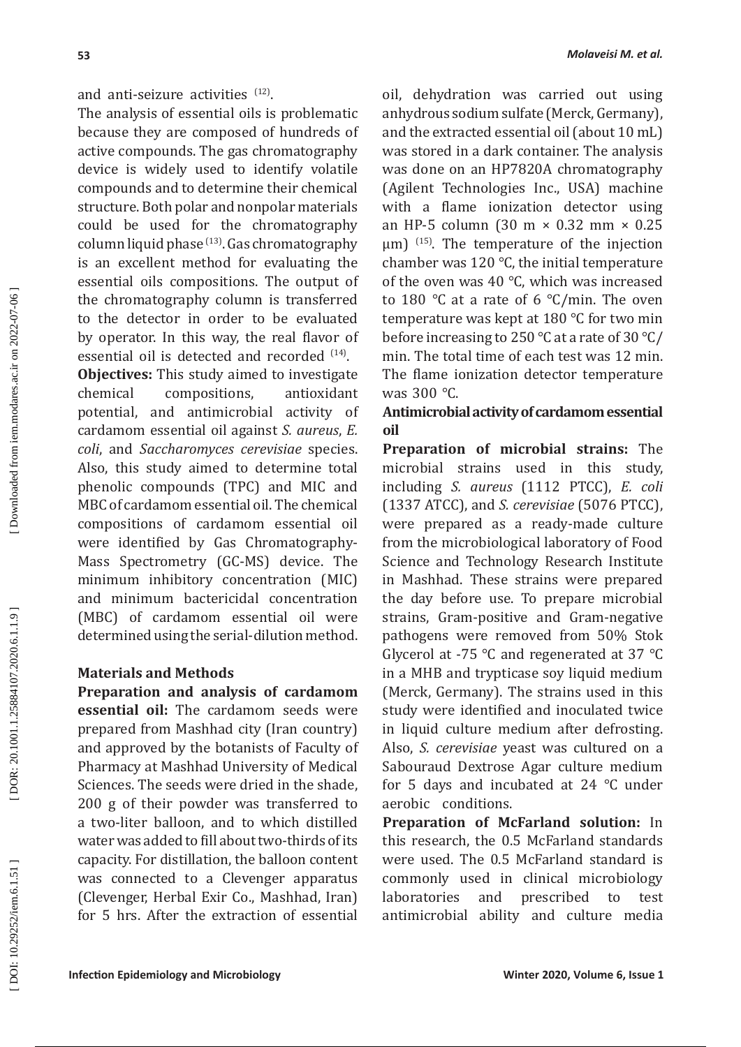The analysis of essential oils is problematic because they are composed of hundreds of active compounds. The gas chromatography device is widely used to identify volatile compounds and to determine their chemical structure. Both polar and nonpolar materials could be used for the chromatography column liquid phase  $(13)$ . Gas chromatography is an excellent method for evaluating the essential oils compositions. The output of the chromatography column is transferred to the detector in order to be evaluated by operator. In this way, the real flavor of essential oil is detected and recorded <sup>(14)</sup>.

**Objectives:** This study aimed to investigate chemical compositions, antioxidant potential, and antimicrobial activity of cardamom essential oil against *S. aureus*, *E. coli*, and *Saccharomyces cerevisiae* species. Also, this study aimed to determine total phenolic compounds (TPC) and MIC and MBC of cardamom essential oil. The chemical compositions of cardamom essential oil were identified by Gas Chromatography-Mass Spectrometry (GC-MS) device. The minimum inhibitory concentration (MIC) and minimum bactericidal concentration (MBC) of cardamom essential oil were determined using the serial-dilution method.

# **Materials and Methods**

**Preparation and analysis of cardamom essential oil:** The cardamom seeds were prepared from Mashhad city (Iran country) and approved by the botanists of Faculty of Pharmacy at Mashhad University of Medical Sciences. The seeds were dried in the shade, 200 g of their powder was transferred to a two-liter balloon, and to which distilled water was added to fill about two-thirds of its capacity. For distillation, the balloon content was connected to a Clevenger apparatus (Clevenger, Herbal Exir Co., Mashhad, Iran) for 5 hrs. After the extraction of essential oil, dehydration was carried out using anhydrous sodium sulfate (Merck, Germany), and the extracted essential oil (about 10 mL) was stored in a dark container. The analysis was done on an HP7820A chromatography (Agilent Technologies Inc., USA) machine with a flame ionization detector using an HP-5 column (30 m × 0.32 mm × 0.25  $\mu$ m) <sup>(15)</sup>. The temperature of the injection chamber was  $120^{\circ}$ C, the initial temperature of the oven was 40 ℃, which was increased to 180 ℃ at a rate of 6 ℃/min. The oven temperature was kept at 180 ℃ for two min before increasing to  $250^{\circ}$ C at a rate of 30  $^{\circ}$ C/ min. The total time of each test was 12 min. The flame ionization detector temperature was 300 ℃ .

# **Antimicrobial activity of cardamom essential oil**

**Preparation of microbial strains:** The microbial strains used in this study, including *S. aureus* (1112 PTCC), *E. coli* (1337 ATCC), and *S. cerevisiae* (5076 PTCC), were prepared as a ready-made culture from the microbiological laboratory of Food Science and Technology Research Institute in Mashhad. These strains were prepared the day before use. To prepare microbial strains, Gram-positive and Gram-negative pathogens were removed from 50% Stok Glycerol at -75 ℃ and regenerated at 37 ℃ in a MHB and trypticase soy liquid medium (Merck, Germany). The strains used in this study were identified and inoculated twice in liquid culture medium after defrosting. Also, *S. cerevisiae* yeast was cultured on a Sabouraud Dextrose Agar culture medium for 5 days and incubated at 24 ℃ under aerobic conditions.

**Preparation of McFarland solution:** In this research, the 0.5 McFarland standards were used. The 0.5 McFarland standard is commonly used in clinical microbiology laboratories and prescribed to test antimicrobial ability and culture media

DOI: 10.29252/iem.6.1.51]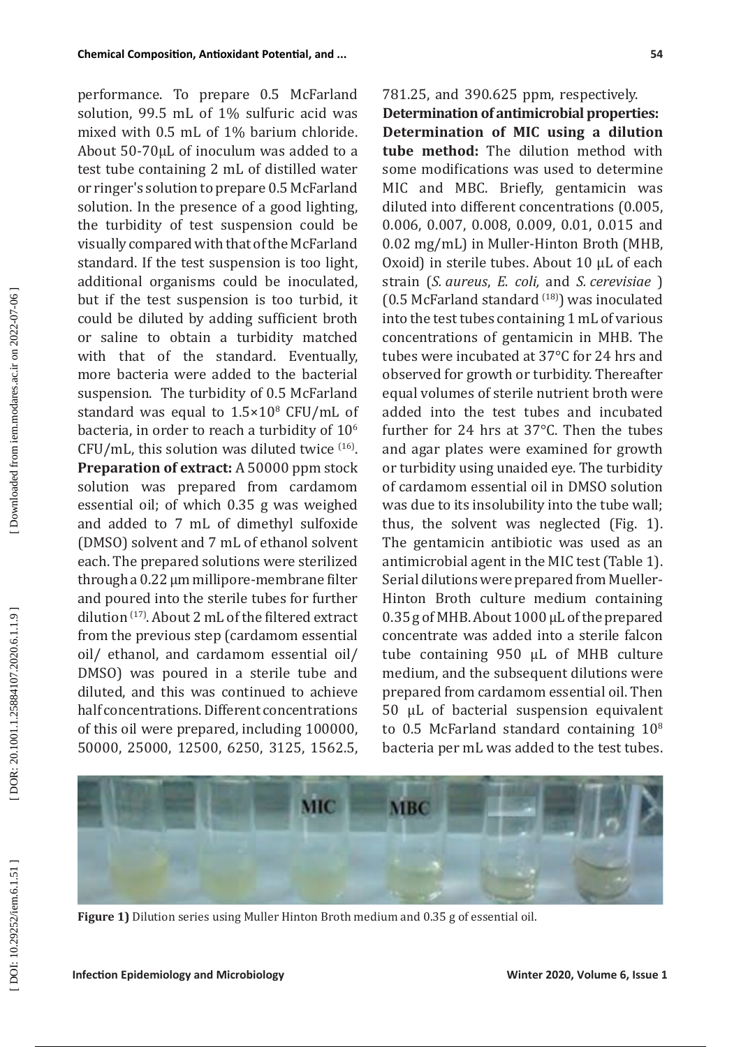performance. To prepare 0.5 McFarland solution, 99.5 mL of 1% sulfuric acid was mixed with 0.5 mL of 1% barium chloride. About 50-70μL of inoculum was added to a test tube containing 2 mL of distilled water or ringer's solution to prepare 0.5 McFarland solution. In the presence of a good lighting, the turbidity of test suspension could be visually compared with that of the McFarland standard. If the test suspension is too light, additional organisms could be inoculated, but if the test suspension is too turbid, it could be diluted by adding sufficient broth or saline to obtain a turbidity matched with that of the standard. Eventually, more bacteria were added to the bacterial suspension. The turbidity of 0.5 McFarland standard was equal to 1.5×10 8 CFU/mL of bacteria, in order to reach a turbidity of  $10<sup>6</sup>$  $CFU/mL$ , this solution was diluted twice  $(16)$ . **Preparation of extract:** A 50000 ppm stock solution was prepared from cardamom essential oil; of which 0.35 g was weighed and added to 7 mL of dimethyl sulfoxide (DMSO) solvent and 7 mL of ethanol solvent each. The prepared solutions were sterilized through a 0.22 μm millipore-membrane filter and poured into the sterile tubes for further dilution (17). About 2 mL of the filtered extract from the previous step (cardamom essential oil/ ethanol, and cardamom essential oil/ DMSO) was poured in a sterile tube and diluted, and this was continued to achieve half concentrations. Different concentrations of this oil were prepared, including 100000, 50000, 25000, 12500, 6250, 3125, 1562.5,

781.25, and 390.625 ppm, respectively.

**Determination of antimicrobial properties: Determination of MIC using a dilution tube method:** The dilution method with some modifications was used to determine MIC and MBC. Briefly, gentamicin was diluted into different concentrations (0.005, 0.006, 0.007, 0.008, 0.009, 0.01, 0.015 and 0.02 mg/mL) in Muller-Hinton Broth (MHB, Oxoid) in sterile tubes. About 10 µL of each strain (*S. aureus*, *E. coli,* and *S. cerevisiae* ) (0.5 McFarland standard  $^{(18)}$ ) was inoculated into the test tubes containing 1 mL of various concentrations of gentamicin in MHB. The tubes were incubated at 37°C for 24 hrs and observed for growth or turbidity. Thereafter equal volumes of sterile nutrient broth were added into the test tubes and incubated further for 24 hrs at 37°C. Then the tubes and agar plates were examined for growth or turbidity using unaided eye. The turbidity of cardamom essential oil in DMSO solution was due to its insolubility into the tube wall; thus, the solvent was neglected (Fig. 1). The gentamicin antibiotic was used as an antimicrobial agent in the MIC test (Table 1). Serial dilutions were prepared from Mueller-Hinton Broth culture medium containing 0.35 g of MHB. About 1000 μL of the prepared concentrate was added into a sterile falcon tube containing 950 μL of MHB culture medium, and the subsequent dilutions were prepared from cardamom essential oil. Then 50 μL of bacterial suspension equivalent to  $0.5$  McFarland standard containing  $10^8$ bacteria per mL was added to the test tubes.



**Figure 1)** Dilution series using Muller Hinton Broth medium and 0.35 g of essential oil.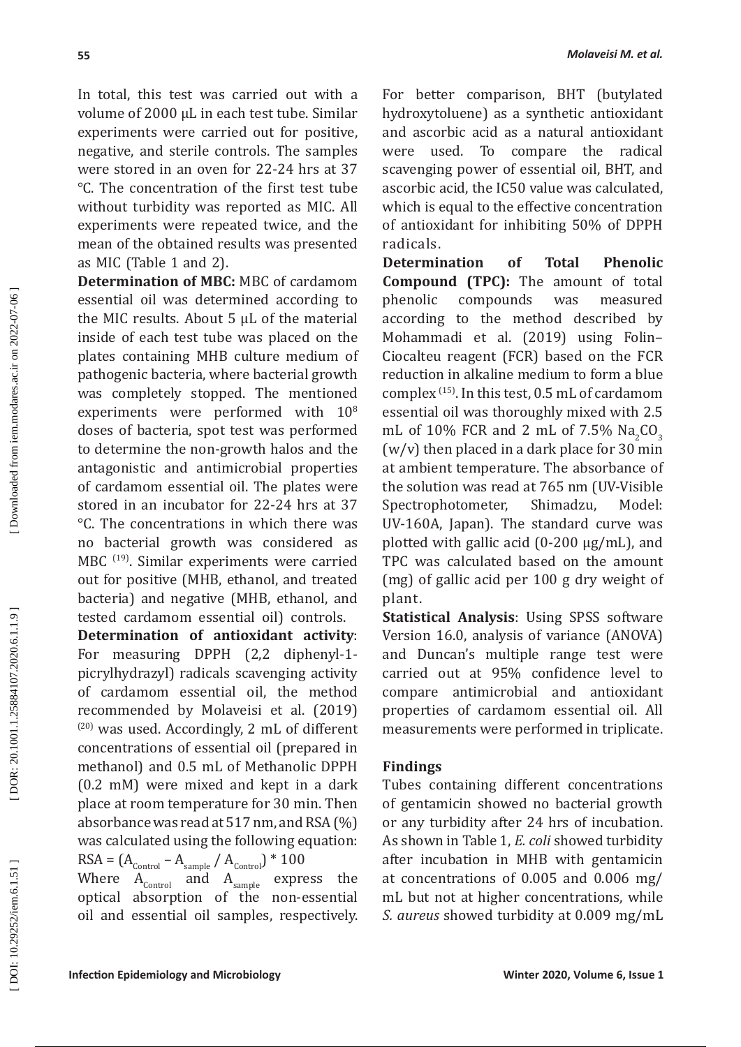In total, this test was carried out with a volume of 2000 μL in each test tube. Similar experiments were carried out for positive, negative, and sterile controls. The samples were stored in an oven for 22-24 hrs at 37 ℃. The concentration of the first test tube without turbidity was reported as MIC. All experiments were repeated twice, and the mean of the obtained results was presented as MIC (Table 1 and 2).

**Determination of MBC:** MBC of cardamom essential oil was determined according to the MIC results. About 5 μL of the material inside of each test tube was placed on the plates containing MHB culture medium of pathogenic bacteria, where bacterial growth was completely stopped. The mentioned experiments were performed with  $10^8$ doses of bacteria, spot test was performed to determine the non-growth halos and the antagonistic and antimicrobial properties of cardamom essential oil. The plates were stored in an incubator for 22-24 hrs at 37 °C. The concentrations in which there was no bacterial growth was considered as MBC (19). Similar experiments were carried out for positive (MHB, ethanol, and treated bacteria) and negative (MHB, ethanol, and tested cardamom essential oil) controls.

**Determination of antioxidant activity** : For measuring DPPH (2,2 diphenyl-1 picrylhydrazyl) radicals scavenging activity of cardamom essential oil, the method recommended by Molaveisi et al. (2019)  $(20)$  was used. Accordingly, 2 mL of different concentrations of essential oil (prepared in methanol) and 0.5 mL of Methanolic DPPH (0.2 mM) were mixed and kept in a dark place at room temperature for 30 min. Then absorbance was read at 517 nm, and RSA (%) was calculated using the following equation:  $RSA = (A_{\text{Control}} - A_{\text{sample}} / A_{\text{Control}})^* 100$ 

Where  $A_{\text{Control}}$  and  $A_{\text{sample}}$  express the optical absorption of the non-essential oil and essential oil samples, respectively.

For better comparison, BHT (butylated hydroxytoluene) as a synthetic antioxidant and ascorbic acid as a natural antioxidant were used. To compare the radical scavenging power of essential oil, BHT, and ascorbic acid, the IC50 value was calculated, which is equal to the effective concentration of antioxidant for inhibiting 50% of DPPH radicals.

**Determination of Total Phenolic Compound (TPC):** The amount of total phenolic compounds was measured according to the method described by Mohammadi et al. (2019) using Folin– Ciocalteu reagent (FCR) based on the FCR reduction in alkaline medium to form a blue complex (15). In this test, 0.5 mL of cardamom essential oil was thoroughly mixed with 2.5 mL of  $10\%$  FCR and 2 mL of 7.5%  $Na<sub>2</sub>CO$ 2 3 (w/v) then placed in a dark place for 30 min at ambient temperature. The absorbance of the solution was read at 765 nm (UV-Visible Spectrophotometer, Shimadzu, Model: UV-160A, Japan). The standard curve was plotted with gallic acid (0-200 µg/mL), and TPC was calculated based on the amount (mg) of gallic acid per 100 g dry weight of plant.

**Statistical Analysis**: Using SPSS software Version 16.0, analysis of variance (ANOVA) and Duncan's multiple range test were carried out at 95% confidence level to compare antimicrobial and antioxidant properties of cardamom essential oil. All measurements were performed in triplicate.

# **Findings**

Tubes containing different concentrations of gentamicin showed no bacterial growth or any turbidity after 24 hrs of incubation. As shown in Table 1, *E. coli* showed turbidity after incubation in MHB with gentamicin at concentrations of 0.005 and 0.006 mg/ mL but not at higher concentrations, while *S. aureus* showed turbidity at 0.009 mg/mL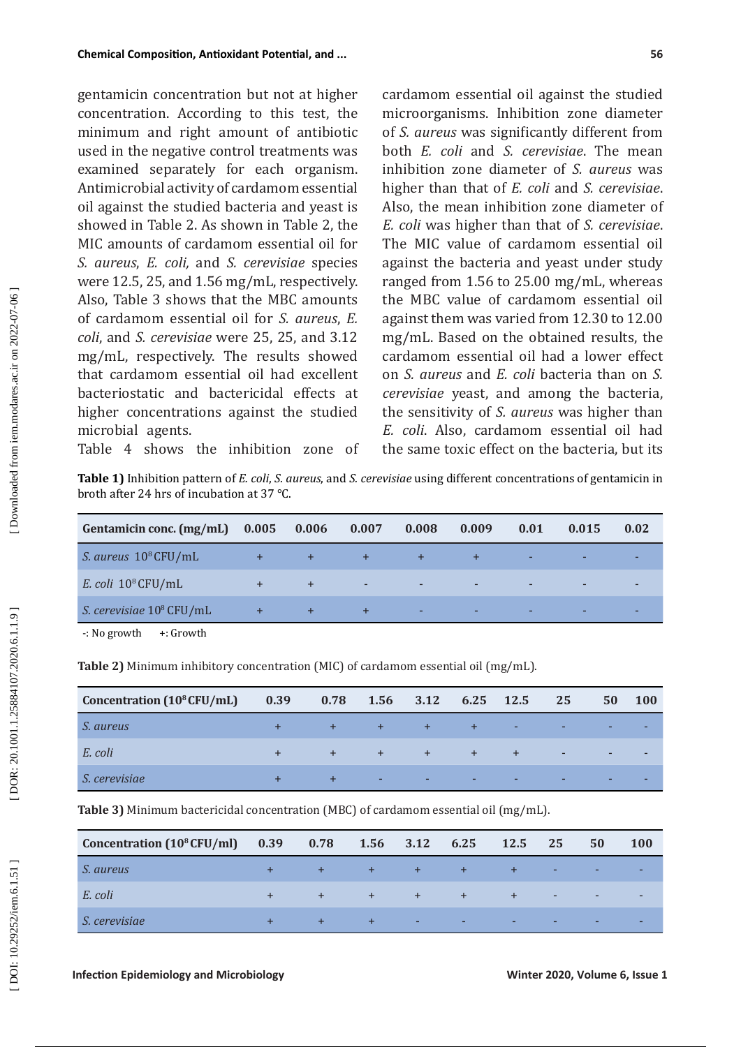gentamicin concentration but not at higher concentration. According to this test, the minimum and right amount of antibiotic used in the negative control treatments was examined separately for each organism. Antimicrobial activity of cardamom essential oil against the studied bacteria and yeast is showed in Table 2. As shown in Table 2, the MIC amounts of cardamom essential oil for *S. aureus*, *E. coli,* and *S. cerevisiae* species were 12.5, 25, and 1.56 mg/mL, respectively. Also, Table 3 shows that the MBC amounts of cardamom essential oil for *S. aureus*, *E. coli*, and *S. cerevisiae* were 25, 25, and 3.12 mg/mL, respectively. The results showed that cardamom essential oil had excellent bacteriostatic and bactericidal effects at higher concentrations against the studied microbial agents. Table 4 shows the inhibition zone of

cardamom essential oil against the studied microorganisms. Inhibition zone diameter of *S. aureus* was significantly different from both *E. coli* and *S. cerevisiae*. The mean inhibition zone diameter of *S. aureus* was higher than that of *E. coli* and *S. cerevisiae*. Also, the mean inhibition zone diameter of *E. coli* was higher than that of *S. cerevisiae* . The MIC value of cardamom essential oil against the bacteria and yeast under study ranged from 1.56 to 25.00 mg/mL, whereas the MBC value of cardamom essential oil against them was varied from 12.30 to 12.00 mg/mL. Based on the obtained results, the cardamom essential oil had a lower effect on *S. aureus* and *E. coli* bacteria than on *S. cerevisiae* yeast, and among the bacteria, the sensitivity of *S. aureus* was higher than *E. coli*. Also, cardamom essential oil had the same toxic effect on the bacteria, but its

**Table 1)** Inhibition pattern of *E. coli*, *S. aureus*, and *S. cerevisiae* using different concentrations of gentamicin in broth after 24 hrs of incubation at 37 °C.

| Gentamicin conc. (mg/mL) 0.005 0.006 0.007 0.008 |           |                                                                                                                                                                                                                                                                                                                                                                                                                              |                                                                                                                                                                                                                                                                                                                                                                                                                                                                                                                                                                                                                                                                               | 0.009                            | 0.01            | 0.015                    | 0.02 |
|--------------------------------------------------|-----------|------------------------------------------------------------------------------------------------------------------------------------------------------------------------------------------------------------------------------------------------------------------------------------------------------------------------------------------------------------------------------------------------------------------------------|-------------------------------------------------------------------------------------------------------------------------------------------------------------------------------------------------------------------------------------------------------------------------------------------------------------------------------------------------------------------------------------------------------------------------------------------------------------------------------------------------------------------------------------------------------------------------------------------------------------------------------------------------------------------------------|----------------------------------|-----------------|--------------------------|------|
| S. aureus 10 <sup>8</sup> CFU/mL                 | $+$       | $\frac{1}{\sqrt{2}}\left( \frac{1}{\sqrt{2}}\right) ^{2}+\frac{1}{\sqrt{2}}\left( \frac{1}{\sqrt{2}}\right) ^{2}+\frac{1}{\sqrt{2}}\left( \frac{1}{\sqrt{2}}\right) ^{2}+\frac{1}{\sqrt{2}}\left( \frac{1}{\sqrt{2}}\right) ^{2}+\frac{1}{\sqrt{2}}\left( \frac{1}{\sqrt{2}}\right) ^{2}+\frac{1}{\sqrt{2}}\left( \frac{1}{\sqrt{2}}\right) ^{2}+\frac{1}{\sqrt{2}}\left( \frac{1}{\sqrt{2}}\right) ^{2}+\frac{1}{\sqrt{2}}$ | $\begin{array}{c} \mathcal{A} \rightarrow \mathcal{A} \rightarrow \mathcal{A} \rightarrow \mathcal{A} \rightarrow \mathcal{A} \rightarrow \mathcal{A} \rightarrow \mathcal{A} \rightarrow \mathcal{A} \rightarrow \mathcal{A} \rightarrow \mathcal{A} \rightarrow \mathcal{A} \rightarrow \mathcal{A} \rightarrow \mathcal{A} \rightarrow \mathcal{A} \rightarrow \mathcal{A} \rightarrow \mathcal{A} \rightarrow \mathcal{A} \rightarrow \mathcal{A} \rightarrow \mathcal{A} \rightarrow \mathcal{A} \rightarrow \mathcal{A} \rightarrow \mathcal{A} \rightarrow \mathcal{A} \rightarrow \mathcal{A} \rightarrow \mathcal{A} \rightarrow \mathcal{A} \rightarrow \mathcal{A$ |                                  | <b>Contract</b> | <b>Contract Contract</b> |      |
| E. coli $10^8$ CFU/mL                            | $+$       |                                                                                                                                                                                                                                                                                                                                                                                                                              | the contract of the contract of the                                                                                                                                                                                                                                                                                                                                                                                                                                                                                                                                                                                                                                           | <u>And the second property</u>   |                 |                          |      |
| S. cerevisiae 10 <sup>8</sup> CFU/mL             | $\ddot{}$ | $+7$                                                                                                                                                                                                                                                                                                                                                                                                                         | $+$                                                                                                                                                                                                                                                                                                                                                                                                                                                                                                                                                                                                                                                                           | <u>All and the second second</u> |                 |                          |      |

-: No growth +: Growth

**Table 2)** Minimum inhibitory concentration (MIC) of cardamom essential oil (mg/mL).

| Concentration (10 <sup>8</sup> CFU/mL) | 0.39 | 0.78 |     | 1.56 3.12 6.25 12.5 |           |    | 25       | 50 | <b>100</b> |
|----------------------------------------|------|------|-----|---------------------|-----------|----|----------|----|------------|
| <i>S. aureus</i>                       |      |      | $+$ | $+$                 | $4 + 7$   | н. | <b>.</b> |    |            |
| E. coli                                |      | $+$  | $+$ | $+$                 | $+7$      |    | $\sim$   |    |            |
| S. cerevisiae                          |      |      | a.  | <b>умер</b>         | <b>м.</b> | ۰  |          |    |            |

**Table 3)** Minimum bactericidal concentration (MBC) of cardamom essential oil (mg/mL).

| Concentration $(10^8$ CFU/ml $)$ 0.39 0.78 |     |      |         | 1.56 3.12 6.25 | 12.5 | 25     | 50 | <b>100</b> |
|--------------------------------------------|-----|------|---------|----------------|------|--------|----|------------|
| <i>S. aureus</i>                           | $+$ | $-1$ | $+$ $-$ |                |      | н.     | ٠  |            |
| E. coli                                    | $+$ | $+$  | $+$     | $+$            |      | $\sim$ | ٠  |            |
| S. cerevisiae                              |     |      | ٠       | н.             |      |        | ۰  |            |

DOI: 10.29252/iem.6.1.51]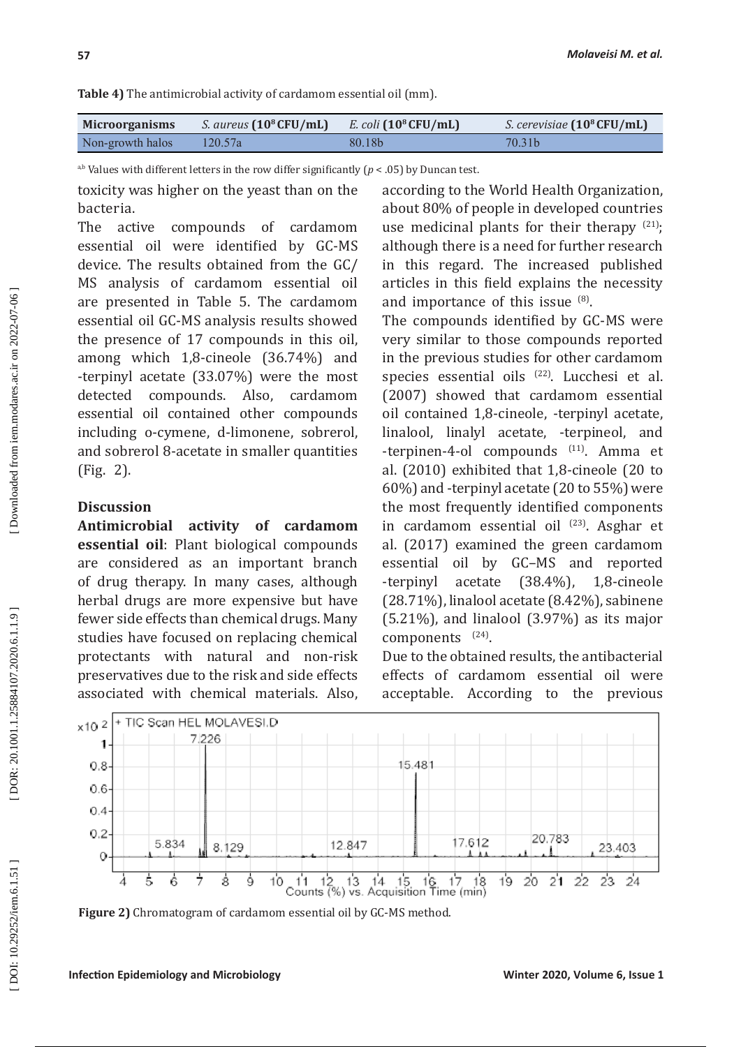**Table 4)** The antimicrobial activity of cardamom essential oil (mm).

| <b>Microorganisms</b> | <i>S. aureus</i> $(10^8$ CFU/mL) | E. coli $(10^8$ CFU/mL) | <i>S. cerevisiae</i> $(10^8$ CFU/mL) |
|-----------------------|----------------------------------|-------------------------|--------------------------------------|
| Non-growth halos      | 120.57a                          | 80.18b                  | 70.31b                               |

a,b Values with different letters in the row differ significantly ( *p* < .05) by Duncan test.

toxicity was higher on the yeast than on the bacteria.

The active compounds of cardamom essential oil were identified by GC-MS device. The results obtained from the GC/ MS analysis of cardamom essential oil are presented in Table 5. The cardamom essential oil GC-MS analysis results showed the presence of 17 compounds in this oil, among which 1,8-cineole (36.74%) and -terpinyl acetate (33.07%) were the most detected compounds. Also, cardamom essential oil contained other compounds including o-cymene, d-limonene, sobrerol, and sobrerol 8-acetate in smaller quantities (Fig. 2).

## **Discussion**

**Antimicrobial activity of cardamom essential oil**: Plant biological compounds are considered as an important branch of drug therapy. In many cases, although herbal drugs are more expensive but have fewer side effects than chemical drugs. Many studies have focused on replacing chemical protectants with natural and non-risk preservatives due to the risk and side effects associated with chemical materials. Also,

according to the World Health Organization, about 80% of people in developed countries use medicinal plants for their therapy  $(21)$ ; although there is a need for further research in this regard. The increased published articles in this field explains the necessity and importance of this issue  $^{(8)}$ .

The compounds identified by GC-MS were very similar to those compounds reported in the previous studies for other cardamom species essential oils (22). Lucchesi et al. (2007) showed that cardamom essential oil contained 1,8-cineole, -terpinyl acetate, linalool, linalyl acetate, -terpineol, and -terpinen-4-ol compounds (11). Amma et al. (2010) exhibited that 1,8-cineole (20 to 60%) and -terpinyl acetate (20 to 55%) were the most frequently identified components in cardamom essential oil <sup>(23)</sup>. Asghar et al. (2017) examined the green cardamom essential oil by GC–MS and reported -terpinyl acetate (38.4%), 1,8-cineole (28.71%), linalool acetate (8.42%), sabinene  $(5.21\%)$ , and linalool  $(3.97\%)$  as its major  $components$ <sup>(24)</sup>.

Due to the obtained results, the antibacterial effects of cardamom essential oil were acceptable. According to the previous



**Figure 2)** Chromatogram of cardamom essential oil by GC-MS method.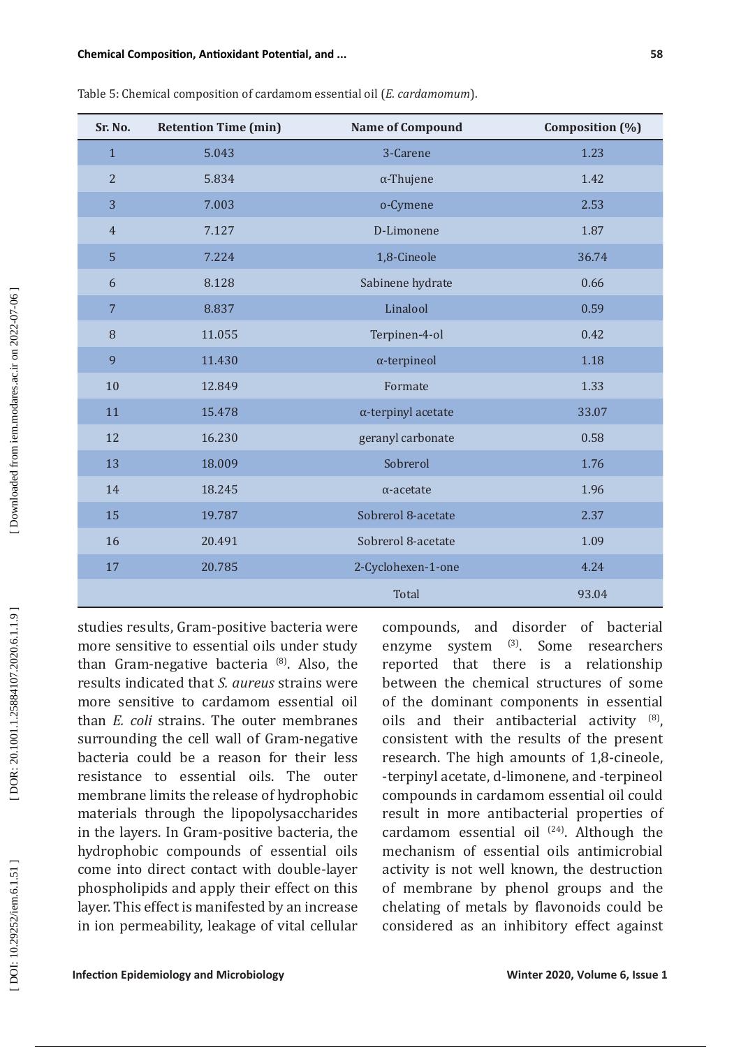[DOR: 20.1001.1.25884107.2020.6.1.1.9]

DOI: 10.29252/iem.6.1.51]

| Sr. No.        | <b>Retention Time (min)</b> | <b>Name of Compound</b>    | Composition (%) |
|----------------|-----------------------------|----------------------------|-----------------|
| $\mathbf{1}$   | 5.043                       | 3-Carene                   | 1.23            |
| $\overline{2}$ | 5.834                       | $\alpha$ -Thujene          | 1.42            |
| 3              | 7.003                       | o-Cymene                   | 2.53            |
| $\overline{4}$ | 7.127                       | D-Limonene                 | 1.87            |
| 5              | 7.224                       | 1,8-Cineole                | 36.74           |
| 6              | 8.128                       | Sabinene hydrate           | 0.66            |
| $\sqrt{7}$     | 8.837                       | Linalool                   | 0.59            |
| 8              | 11.055                      | Terpinen-4-ol              | 0.42            |
| 9              | 11.430                      | $\alpha$ -terpineol        | 1.18            |
| 10             | 12.849                      | Formate                    | 1.33            |
| 11             | 15.478                      | $\alpha$ -terpinyl acetate | 33.07           |
| 12             | 16.230                      | geranyl carbonate          | 0.58            |
| 13             | 18.009                      | Sobrerol                   | 1.76            |
| 14             | 18.245                      | $\alpha$ -acetate          | 1.96            |
| 15             | 19.787                      | Sobrerol 8-acetate         | 2.37            |
| 16             | 20.491                      | Sobrerol 8-acetate         | 1.09            |
| 17             | 20.785                      | 2-Cyclohexen-1-one         | 4.24            |
|                |                             | Total                      | 93.04           |

Table 5: Chemical composition of cardamom essential oil (*E. cardamomum*).

studies results, Gram-positive bacteria were more sensitive to essential oils under study than Gram-negative bacteria  $^{(8)}$ . Also, the results indicated that *S. aureus* strains were more sensitive to cardamom essential oil than *E. coli* strains. The outer membranes surrounding the cell wall of Gram-negative bacteria could be a reason for their less resistance to essential oils. The outer membrane limits the release of hydrophobic materials through the lipopolysaccharides in the layers. In Gram-positive bacteria, the hydrophobic compounds of essential oils come into direct contact with double-layer phospholipids and apply their effect on this layer. This effect is manifested by an increase in ion permeability, leakage of vital cellular

compounds, and disorder of bacterial<br>enzyme system <sup>(3)</sup>. Some researchers enzyme system reported that there is a relationship between the chemical structures of some of the dominant components in essential oils and their antibacterial activity (8), consistent with the results of the present research. The high amounts of 1,8-cineole, -terpinyl acetate, d-limonene, and -terpineol compounds in cardamom essential oil could result in more antibacterial properties of cardamom essential oil  $(24)$ . Although the mechanism of essential oils antimicrobial activity is not well known, the destruction of membrane by phenol groups and the chelating of metals by flavonoids could be considered as an inhibitory effect against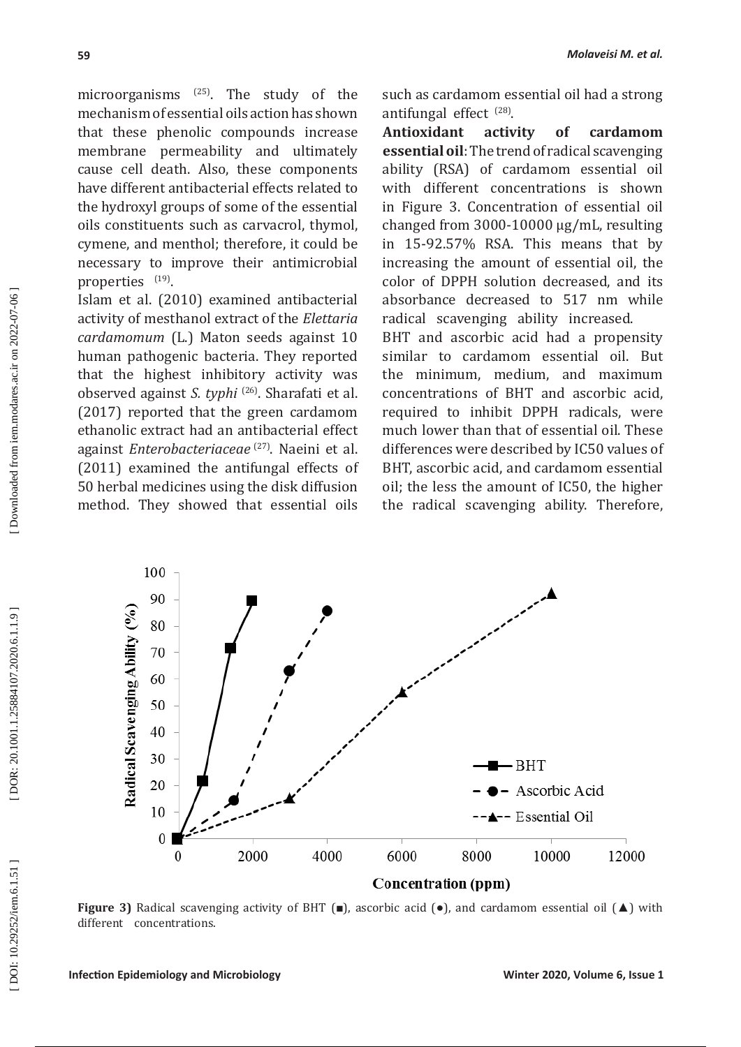microorganisms  $^{(25)}$ . The study of the mechanism of essential oils action has shown that these phenolic compounds increase membrane permeability and ultimately cause cell death. Also, these components have different antibacterial effects related to the hydroxyl groups of some of the essential oils constituents such as carvacrol, thymol, cymene, and menthol; therefore, it could be necessary to improve their antimicrobial properties <sup>(19)</sup>.

Islam et al. (2010) examined antibacterial activity of mesthanol extract of the *Elettaria cardamomum* (L.) Maton seeds against 10 human pathogenic bacteria. They reported that the highest inhibitory activity was observed against *S. typhi* (26). Sharafati et al. (2017) reported that the green cardamom ethanolic extract had an antibacterial effect against *Enterobacteriaceae* (27). Naeini et al. (2011) examined the antifungal effects of 50 herbal medicines using the disk diffusion method. They showed that essential oils such as cardamom essential oil had a strong antifungal effect <sup>(28)</sup>.

**Antioxidant activity of cardamom essential oil**: The trend of radical scavenging ability (RSA) of cardamom essential oil with different concentrations is shown in Figure 3. Concentration of essential oil changed from 3000-10000 ug/mL, resulting in 15-92.57% RSA. This means that by increasing the amount of essential oil, the color of DPPH solution decreased, and its absorbance decreased to 517 nm while radical scavenging ability increased.

BHT and ascorbic acid had a propensity similar to cardamom essential oil. But the minimum, medium, and maximum concentrations of BHT and ascorbic acid, required to inhibit DPPH radicals, were much lower than that of essential oil. These differences were described by IC50 values of BHT, ascorbic acid, and cardamom essential oil; the less the amount of IC50, the higher the radical scavenging ability. Therefore,



**Figure 3)** Radical scavenging activity of BHT (■), ascorbic acid (●), and cardamom essential oil (▲) with different concentrations.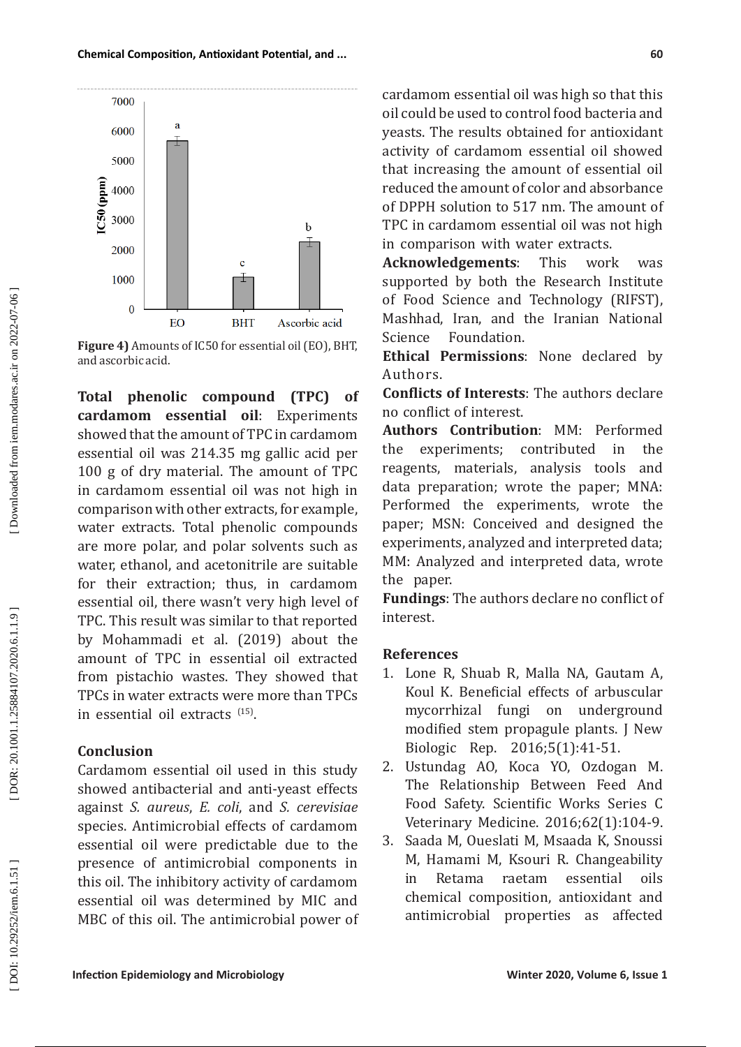**Infection Epidemiology and Microbiology Nightland Science Control and Microbiology Control of America Control of America Control of America Control of America Control of America Control of America Control of America Contr** 

cardamom essential oil was high so that this oil could be used to control food bacteria and yeasts. The results obtained for antioxidant activity of cardamom essential oil showed that increasing the amount of essential oil reduced the amount of color and absorbance of DPPH solution to 517 nm. The amount of TPC in cardamom essential oil was not high in comparison with water extracts.

**Acknowledgements**: This work was supported by both the Research Institute of Food Science and Technology (RIFST), Mashhad, Iran, and the Iranian National Science Foundation.

**Ethical Permissions**: None declared by Authors.

**Conflicts of Interests**: The authors declare no conflict of interest.

**Authors Contribution**: MM: Performed the experiments; contributed in the reagents, materials, analysis tools and data preparation; wrote the paper; MNA: Performed the experiments, wrote the paper; MSN: Conceived and designed the experiments, analyzed and interpreted data; MM: Analyzed and interpreted data, wrote the paper.

**Fundings**: The authors declare no conflict of interest.

# **References**

- 1. Lone R, Shuab R, Malla NA, Gautam A, Koul K. Beneficial effects of arbuscular mycorrhizal fungi on underground modified stem propagule plants. J New Biologic Rep. 2016;5(1):41-51.
- 2. Ustundag AO, Koca YO, Ozdogan M. The Relationship Between Feed And Food Safety. Scientific Works Series C Veterinary Medicine. 2016;62(1):104-9.
- 3. Saada M, Oueslati M, Msaada K, Snoussi M, Hamami M, Ksouri R. Changeability in Retama raetam essential oils chemical composition, antioxidant and antimicrobial properties as affected



**Total phenolic compound (TPC) of cardamom essential oil**: Experiments showed that the amount of TPC in cardamom essential oil was 214.35 mg gallic acid per 100 g of dry material. The amount of TPC in cardamom essential oil was not high in comparison with other extracts, for example, water extracts. Total phenolic compounds are more polar, and polar solvents such as water, ethanol, and acetonitrile are suitable for their extraction; thus, in cardamom essential oil, there wasn't very high level of TPC. This result was similar to that reported by Mohammadi et al. (2019) about the amount of TPC in essential oil extracted from pistachio wastes. They showed that TPCs in water extracts were more than TPCs in essential oil extracts  $(15)$ .

# **Conclusion**

Cardamom essential oil used in this study showed antibacterial and anti-yeast effects against *S. aureus*, *E. coli*, and *S. cerevisiae* species. Antimicrobial effects of cardamom essential oil were predictable due to the presence of antimicrobial components in this oil. The inhibitory activity of cardamom essential oil was determined by MIC and MBC of this oil. The antimicrobial power of



DOI: 10.29252/iem.6.1.51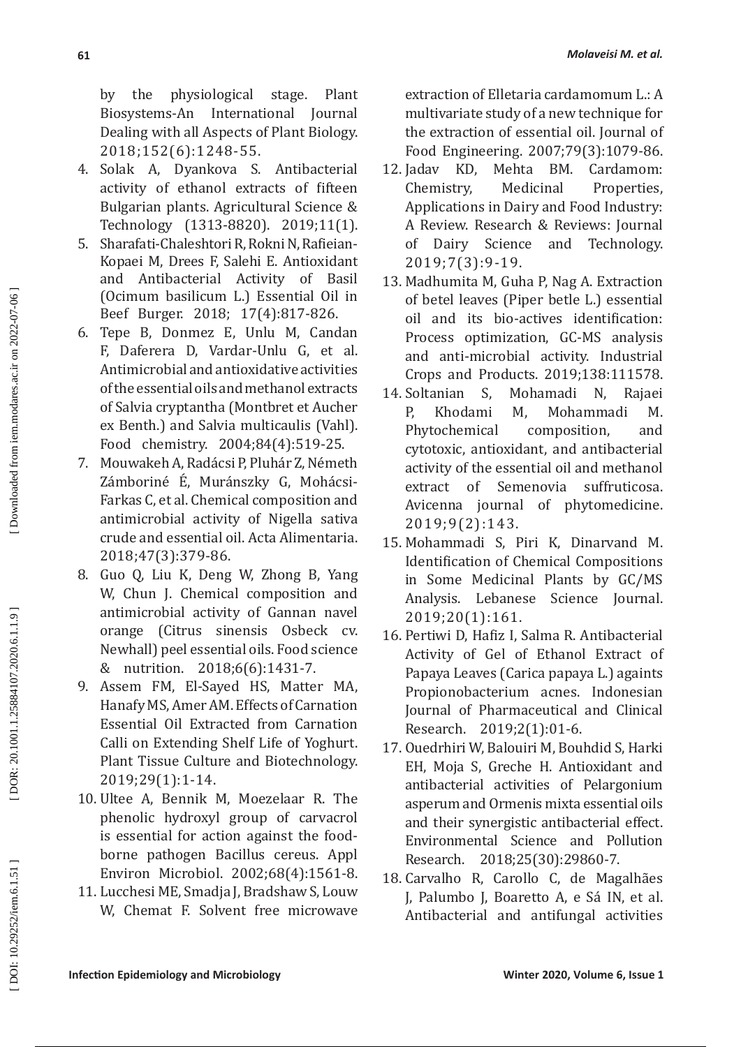by the physiological stage. Plant Biosystems-An International Journal Dealing with all Aspects of Plant Biology. 2018;152(6):1248-55.

- 4. Solak A, Dyankova S. Antibacterial activity of ethanol extracts of fifteen Bulgarian plants. Agricultural Science & Technology (1313-8820). 2019;11(1).
- 5. Sharafati-Chaleshtori R, Rokni N, Rafieian-Kopaei M, Drees F, Salehi E. Antioxidant and Antibacterial (Ocimum basilicum L.) Essential Oil in Beef Burger. 2018; 17(4):817-826.
- 6. Tepe B, Donmez E, Unlu M, Candan F, Daferera D, Vardar-Unlu G, et al. Antimicrobial and antioxidative activities of the essential oils and methanol extracts of Salvia cryptantha (Montbret et Aucher ex Benth.) and Salvia multicaulis (Vahl). Food chemistry. 2004;84(4):519-25.
- 7. Mouwakeh A, Radácsi P, Pluhár Z, Németh Zámboriné E, Muránszky G, Mohácsi-Farkas C, et al. Chemical composition and antimicrobial activity of Nigella sativa crude and essential oil. Acta Alimentaria. 2018;47(3):379-86.
- 8. Guo Q, Liu K, Deng W, Zhong B, Yang W, Chun J. Chemical composition and antimicrobial activity of Gannan navel orange (Citrus sinensis Osbeck cv. Newhall) peel essential oils. Food science & nutrition. 2018;6(6):1431-7.
- 9. Assem FM, El-Sayed HS, Matter MA, Hanafy MS, Amer AM. Effects of Carnation Essential Oil Extracted from Carnation Calli on Extending Shelf Life of Yoghurt. Plant Tissue Culture and Biotechnology. 2019;29(1):1-14.
- 10. Ultee A, Bennik M, Moezelaar R. The phenolic hydroxyl group of carvacrol is essential for action against the foodborne pathogen Bacillus cereus. Appl Environ Microbiol. 2002;68(4):1561-8.
- 11. Lucchesi ME, Smadja J, Bradshaw S, Louw W, Chemat F. Solvent free microwave

extraction of Elletaria cardamomum L.: A multivariate study of a new technique for the extraction of essential oil. Journal of Food Engineering. 2007;79(3):1079-86.

- 12. Jadav KD. Chemistry, Medicinal Properties, Applications in Dairy and Food Industry: A Review. Research & Reviews: Journal of Dairy Science and Technology. 2019;7(3):9-19.
- 13. Madhumita M, Guha P, Nag A. Extraction of betel leaves (Piper betle L.) essential oil and its bio-actives identification: Process optimization, GC-MS analysis and anti-microbial activity. Industrial Crops and Products. 2019;138:111578.<br>Soltanian S. Mohamadi N. Rajaei
- 14. Soltanian S, Mohamadi N, Rajaei P, Khodami M, Mohammadi M.<br>Phytochemical composition, and Phytochemical composition, and cytotoxic, antioxidant, and antibacterial activity of the essential oil and methanol extract of Semenovia suffruticosa. Avicenna journal of phytomedicine. 2019;9(2):143.
- 15. Mohammadi S, Piri K, Dinarvand M. Identification of Chemical Compositions in Some Medicinal Plants by GC/MS Analysis. Lebanese Science Journal. 2019;20(1):161.
- 16. Pertiwi D, Hafiz I, Salma R. Antibacterial Activity of Gel of Ethanol Extract of Papaya Leaves (Carica papaya L.) againts Propionobacterium acnes. Indonesian Journal of Pharmaceutical and Clinical Research. 2019;2(1):01-6.
- 17. Ouedrhiri W, Balouiri M, Bouhdid S, Harki EH, Moja S, Greche H. Antioxidant and antibacterial activities of Pelargonium asperum and Ormenis mixta essential oils and their synergistic antibacterial effect. Environmental Science and Pollution Research. 2018;25(30):29860-7.
- 18. Carvalho R, Carollo C, de Magalhães J, Palumbo J, Boaretto A, e Sá IN, et al. Antibacterial and antifungal activities

DOI: 10.29252/iem.6.1.51]